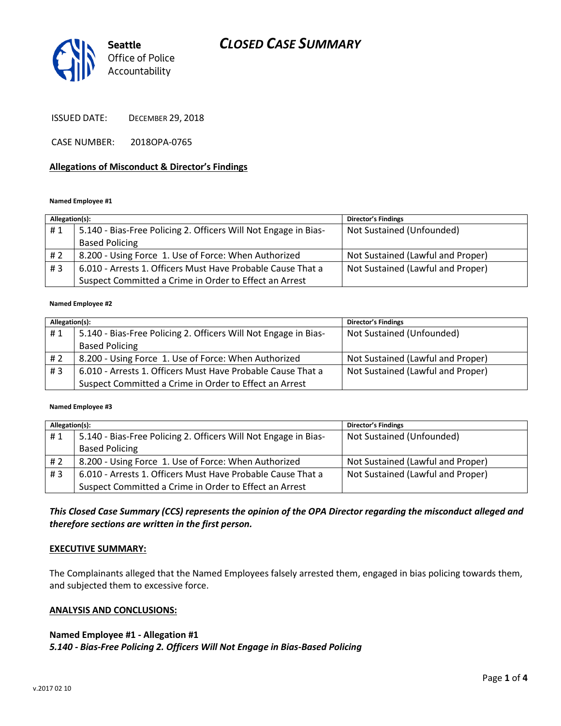# *CLOSED CASE SUMMARY*



ISSUED DATE: DECEMBER 29, 2018

CASE NUMBER: 2018OPA-0765

#### **Allegations of Misconduct & Director's Findings**

#### **Named Employee #1**

| Allegation(s): |                                                                 | <b>Director's Findings</b>        |
|----------------|-----------------------------------------------------------------|-----------------------------------|
| #1             | 5.140 - Bias-Free Policing 2. Officers Will Not Engage in Bias- | Not Sustained (Unfounded)         |
|                | <b>Based Policing</b>                                           |                                   |
| #2             | 8.200 - Using Force 1. Use of Force: When Authorized            | Not Sustained (Lawful and Proper) |
| #3             | 6.010 - Arrests 1. Officers Must Have Probable Cause That a     | Not Sustained (Lawful and Proper) |
|                | Suspect Committed a Crime in Order to Effect an Arrest          |                                   |

#### **Named Employee #2**

| Allegation(s): |                                                                 | <b>Director's Findings</b>        |
|----------------|-----------------------------------------------------------------|-----------------------------------|
| #1             | 5.140 - Bias-Free Policing 2. Officers Will Not Engage in Bias- | Not Sustained (Unfounded)         |
|                | <b>Based Policing</b>                                           |                                   |
| #2             | 8.200 - Using Force 1. Use of Force: When Authorized            | Not Sustained (Lawful and Proper) |
| # $3$          | 6.010 - Arrests 1. Officers Must Have Probable Cause That a     | Not Sustained (Lawful and Proper) |
|                | Suspect Committed a Crime in Order to Effect an Arrest          |                                   |

#### **Named Employee #3**

| Allegation(s): |                                                                 | <b>Director's Findings</b>        |
|----------------|-----------------------------------------------------------------|-----------------------------------|
| #1             | 5.140 - Bias-Free Policing 2. Officers Will Not Engage in Bias- | Not Sustained (Unfounded)         |
|                | <b>Based Policing</b>                                           |                                   |
| #2             | 8.200 - Using Force 1. Use of Force: When Authorized            | Not Sustained (Lawful and Proper) |
| #3             | 6.010 - Arrests 1. Officers Must Have Probable Cause That a     | Not Sustained (Lawful and Proper) |
|                | Suspect Committed a Crime in Order to Effect an Arrest          |                                   |

## *This Closed Case Summary (CCS) represents the opinion of the OPA Director regarding the misconduct alleged and therefore sections are written in the first person.*

#### **EXECUTIVE SUMMARY:**

The Complainants alleged that the Named Employees falsely arrested them, engaged in bias policing towards them, and subjected them to excessive force.

#### **ANALYSIS AND CONCLUSIONS:**

## **Named Employee #1 - Allegation #1**

*5.140 - Bias-Free Policing 2. Officers Will Not Engage in Bias-Based Policing*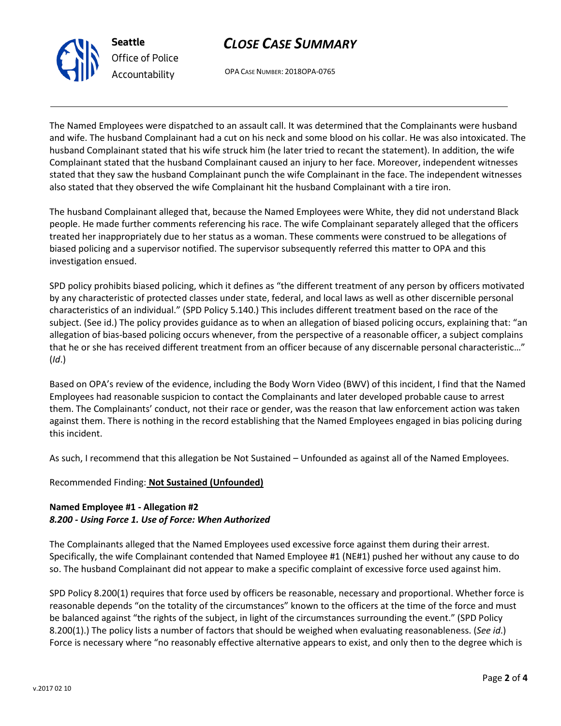



OPA CASE NUMBER: 2018OPA-0765

The Named Employees were dispatched to an assault call. It was determined that the Complainants were husband and wife. The husband Complainant had a cut on his neck and some blood on his collar. He was also intoxicated. The husband Complainant stated that his wife struck him (he later tried to recant the statement). In addition, the wife Complainant stated that the husband Complainant caused an injury to her face. Moreover, independent witnesses stated that they saw the husband Complainant punch the wife Complainant in the face. The independent witnesses also stated that they observed the wife Complainant hit the husband Complainant with a tire iron.

The husband Complainant alleged that, because the Named Employees were White, they did not understand Black people. He made further comments referencing his race. The wife Complainant separately alleged that the officers treated her inappropriately due to her status as a woman. These comments were construed to be allegations of biased policing and a supervisor notified. The supervisor subsequently referred this matter to OPA and this investigation ensued.

SPD policy prohibits biased policing, which it defines as "the different treatment of any person by officers motivated by any characteristic of protected classes under state, federal, and local laws as well as other discernible personal characteristics of an individual." (SPD Policy 5.140.) This includes different treatment based on the race of the subject. (See id.) The policy provides guidance as to when an allegation of biased policing occurs, explaining that: "an allegation of bias-based policing occurs whenever, from the perspective of a reasonable officer, a subject complains that he or she has received different treatment from an officer because of any discernable personal characteristic…" (*Id*.)

Based on OPA's review of the evidence, including the Body Worn Video (BWV) of this incident, I find that the Named Employees had reasonable suspicion to contact the Complainants and later developed probable cause to arrest them. The Complainants' conduct, not their race or gender, was the reason that law enforcement action was taken against them. There is nothing in the record establishing that the Named Employees engaged in bias policing during this incident.

As such, I recommend that this allegation be Not Sustained – Unfounded as against all of the Named Employees.

Recommended Finding: **Not Sustained (Unfounded)**

## **Named Employee #1 - Allegation #2** *8.200 - Using Force 1. Use of Force: When Authorized*

The Complainants alleged that the Named Employees used excessive force against them during their arrest. Specifically, the wife Complainant contended that Named Employee #1 (NE#1) pushed her without any cause to do so. The husband Complainant did not appear to make a specific complaint of excessive force used against him.

SPD Policy 8.200(1) requires that force used by officers be reasonable, necessary and proportional. Whether force is reasonable depends "on the totality of the circumstances" known to the officers at the time of the force and must be balanced against "the rights of the subject, in light of the circumstances surrounding the event." (SPD Policy 8.200(1).) The policy lists a number of factors that should be weighed when evaluating reasonableness. (*See id*.) Force is necessary where "no reasonably effective alternative appears to exist, and only then to the degree which is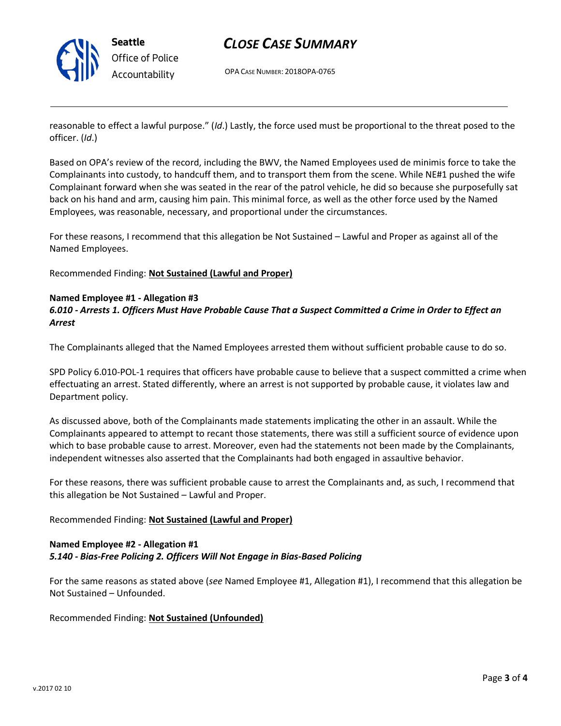

# *CLOSE CASE SUMMARY*

OPA CASE NUMBER: 2018OPA-0765

reasonable to effect a lawful purpose." (*Id*.) Lastly, the force used must be proportional to the threat posed to the officer. (*Id*.)

Based on OPA's review of the record, including the BWV, the Named Employees used de minimis force to take the Complainants into custody, to handcuff them, and to transport them from the scene. While NE#1 pushed the wife Complainant forward when she was seated in the rear of the patrol vehicle, he did so because she purposefully sat back on his hand and arm, causing him pain. This minimal force, as well as the other force used by the Named Employees, was reasonable, necessary, and proportional under the circumstances.

For these reasons, I recommend that this allegation be Not Sustained – Lawful and Proper as against all of the Named Employees.

Recommended Finding: **Not Sustained (Lawful and Proper)**

#### **Named Employee #1 - Allegation #3**

*6.010 - Arrests 1. Officers Must Have Probable Cause That a Suspect Committed a Crime in Order to Effect an Arrest*

The Complainants alleged that the Named Employees arrested them without sufficient probable cause to do so.

SPD Policy 6.010-POL-1 requires that officers have probable cause to believe that a suspect committed a crime when effectuating an arrest. Stated differently, where an arrest is not supported by probable cause, it violates law and Department policy.

As discussed above, both of the Complainants made statements implicating the other in an assault. While the Complainants appeared to attempt to recant those statements, there was still a sufficient source of evidence upon which to base probable cause to arrest. Moreover, even had the statements not been made by the Complainants, independent witnesses also asserted that the Complainants had both engaged in assaultive behavior.

For these reasons, there was sufficient probable cause to arrest the Complainants and, as such, I recommend that this allegation be Not Sustained – Lawful and Proper.

### Recommended Finding: **Not Sustained (Lawful and Proper)**

## **Named Employee #2 - Allegation #1** *5.140 - Bias-Free Policing 2. Officers Will Not Engage in Bias-Based Policing*

For the same reasons as stated above (*see* Named Employee #1, Allegation #1), I recommend that this allegation be Not Sustained – Unfounded.

Recommended Finding: **Not Sustained (Unfounded)**